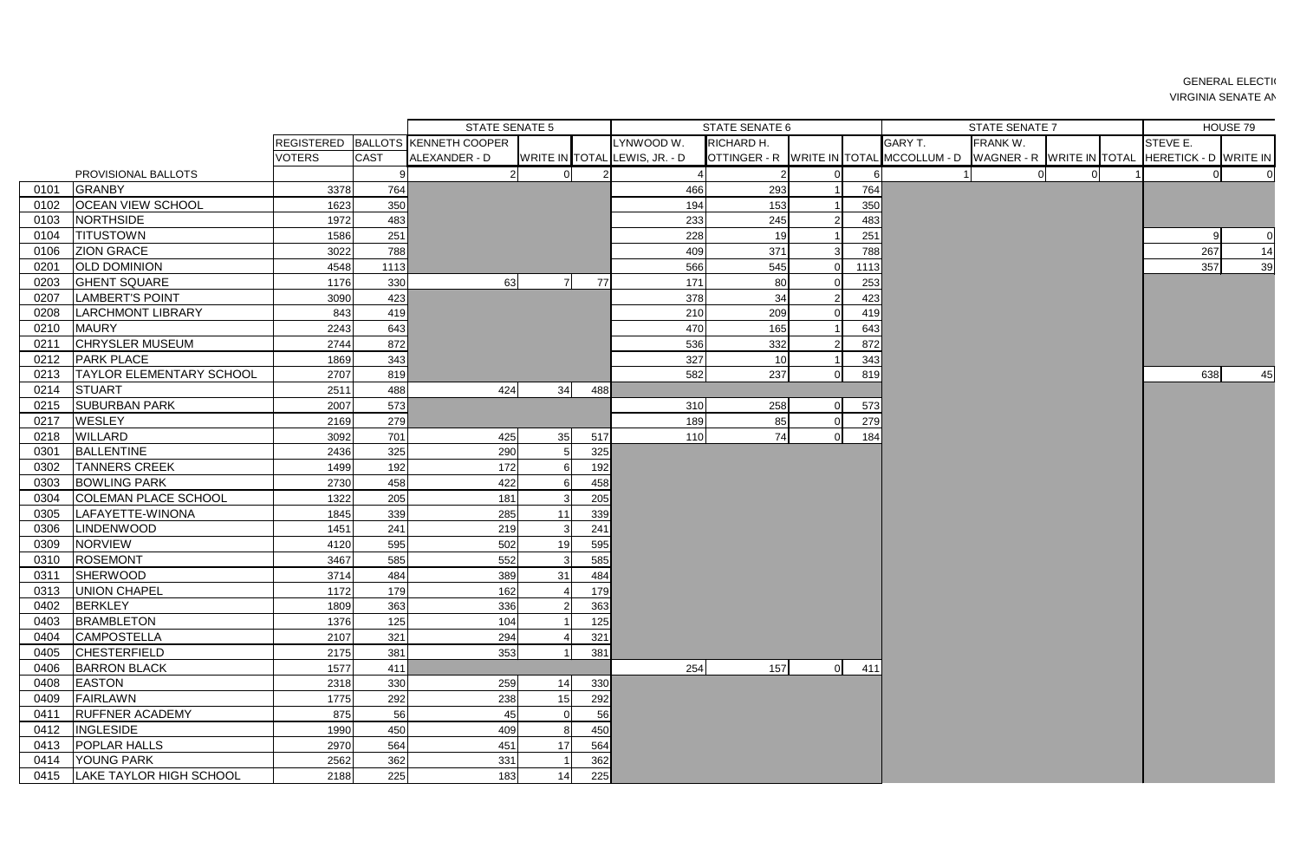|      |                                 |                   |             | STATE SENATE 5         |    |     |                               | <b>STATE SENATE 6</b> |              |      | <b>STATE SENATE 7</b>                    | HOUSE 79                  |  |                       |                    |
|------|---------------------------------|-------------------|-------------|------------------------|----|-----|-------------------------------|-----------------------|--------------|------|------------------------------------------|---------------------------|--|-----------------------|--------------------|
|      |                                 | <b>REGISTERED</b> |             | BALLOTS KENNETH COOPER |    |     | LYNWOOD W.                    | RICHARD H.            |              |      | <b>GARY T.</b>                           | FRANK W.                  |  | STEVE E.              |                    |
|      |                                 | <b>VOTERS</b>     | <b>CAST</b> | ALEXANDER - D          |    |     | WRITE IN TOTAL LEWIS, JR. - D |                       |              |      | OTTINGER - R WRITE IN TOTAL MCCOLLUM - D | WAGNER - R WRITE IN TOTAL |  | HERETICK - D WRITE IN |                    |
|      | PROVISIONAL BALLOTS             |                   | -91         | $\overline{2}$         |    |     |                               |                       |              |      |                                          |                           |  |                       |                    |
| 0101 | <b>GRANBY</b>                   | 3378              | 764         |                        |    |     | 466                           | 293                   |              | 764  |                                          |                           |  |                       |                    |
| 0102 | <b>OCEAN VIEW SCHOOL</b>        | 1623              | 350         |                        |    |     | 194                           | 153                   |              | 350  |                                          |                           |  |                       |                    |
| 0103 | <b>NORTHSIDE</b>                | 1972              | 483         |                        |    |     | 233                           | 245                   |              | 483  |                                          |                           |  |                       |                    |
| 0104 | <b>TITUSTOWN</b>                | 1586              | 251         |                        |    |     | 228                           | 19                    |              | 251  |                                          |                           |  |                       | 0 <br>$\mathsf{Q}$ |
| 0106 | <b>ZION GRACE</b>               | 3022              | 788         |                        |    |     | 409                           | 371                   |              | 788  |                                          |                           |  | 267                   | 14                 |
| 0201 | <b>OLD DOMINION</b>             | 4548              | 1113        |                        |    |     | 566                           | 545                   | $\Omega$     | 1113 |                                          |                           |  | 357                   | 39                 |
| 0203 | <b>GHENT SQUARE</b>             | 1176              | 330         | 63                     |    | 77  | 171                           | 80                    |              | 253  |                                          |                           |  |                       |                    |
| 0207 | <b>LAMBERT'S POINT</b>          | 3090              | 423         |                        |    |     | 378                           | 34                    |              | 423  |                                          |                           |  |                       |                    |
| 0208 | <b>LARCHMONT LIBRARY</b>        | 843               | 419         |                        |    |     | 210                           | 209                   |              | 419  |                                          |                           |  |                       |                    |
| 0210 | <b>MAURY</b>                    | 2243              | 643         |                        |    |     | 470                           | 165                   |              | 643  |                                          |                           |  |                       |                    |
| 0211 | <b>CHRYSLER MUSEUM</b>          | 2744              | 872         |                        |    |     | 536                           | 332                   |              | 872  |                                          |                           |  |                       |                    |
| 0212 | <b>PARK PLACE</b>               | 1869              | 343         |                        |    |     | 327                           | 10                    |              | 343  |                                          |                           |  |                       |                    |
| 0213 | <b>TAYLOR ELEMENTARY SCHOOL</b> | 2707              | 819         |                        |    |     | 582                           | 237                   | $\Omega$     | 819  |                                          |                           |  | 638                   | 45                 |
| 0214 | <b>STUART</b>                   | 2511              | 488         | 424                    | 34 | 488 |                               |                       |              |      |                                          |                           |  |                       |                    |
| 0215 | <b>SUBURBAN PARK</b>            | 2007              | 573         |                        |    |     | 310                           | 258                   | $\Omega$     | 573  |                                          |                           |  |                       |                    |
| 0217 | <b>WESLEY</b>                   | 2169              | 279         |                        |    |     | 189                           | 85                    | $\mathbf{0}$ | 279  |                                          |                           |  |                       |                    |
| 0218 | <b>WILLARD</b>                  | 3092              | 701         | 425                    | 35 | 517 | 110                           | 74                    | $\Omega$     | 184  |                                          |                           |  |                       |                    |
| 0301 | <b>BALLENTINE</b>               | 2436              | 325         | 290                    |    | 325 |                               |                       |              |      |                                          |                           |  |                       |                    |
| 0302 | <b>TANNERS CREEK</b>            | 1499              | 192         | 172                    |    | 192 |                               |                       |              |      |                                          |                           |  |                       |                    |
| 0303 | <b>BOWLING PARK</b>             | 2730              | 458         | 422                    |    | 458 |                               |                       |              |      |                                          |                           |  |                       |                    |
| 0304 | <b>COLEMAN PLACE SCHOOL</b>     | 1322              | 205         | 181                    |    | 205 |                               |                       |              |      |                                          |                           |  |                       |                    |
| 0305 | LAFAYETTE-WINONA                | 1845              | 339         | 285                    |    | 339 |                               |                       |              |      |                                          |                           |  |                       |                    |
| 0306 | <b>LINDENWOOD</b>               | 1451              | 241         | 219                    |    | 241 |                               |                       |              |      |                                          |                           |  |                       |                    |
| 0309 | <b>NORVIEW</b>                  | 4120              | 595         | 502                    | 19 | 595 |                               |                       |              |      |                                          |                           |  |                       |                    |
| 0310 | <b>ROSEMONT</b>                 | 3467              | 585         | 552                    |    | 585 |                               |                       |              |      |                                          |                           |  |                       |                    |
| 0311 | <b>SHERWOOD</b>                 | 3714              | 484         | 389                    | 31 | 484 |                               |                       |              |      |                                          |                           |  |                       |                    |
|      | 0313   UNION CHAPEL             | 1172              | 179         | 162                    |    | 179 |                               |                       |              |      |                                          |                           |  |                       |                    |
| 0402 | BERKLEY                         | 1809              | 363         | 336                    |    | 363 |                               |                       |              |      |                                          |                           |  |                       |                    |
| 0403 | <b>BRAMBLETON</b>               | 1376              | 125         | 104                    |    | 125 |                               |                       |              |      |                                          |                           |  |                       |                    |
| 0404 | <b>CAMPOSTELLA</b>              | 2107              | 321         | 294                    |    | 321 |                               |                       |              |      |                                          |                           |  |                       |                    |
| 0405 | <b>CHESTERFIELD</b>             | 2175              | 381         | 353                    |    | 381 |                               |                       |              |      |                                          |                           |  |                       |                    |
| 0406 | <b>BARRON BLACK</b>             | 1577              | 411         |                        |    |     | 254                           | 157                   | 0            | 411  |                                          |                           |  |                       |                    |
| 0408 | <b>EASTON</b>                   | 2318              | 330         | 259                    | 14 | 330 |                               |                       |              |      |                                          |                           |  |                       |                    |
| 0409 | FAIRLAWN                        | 1775              | 292         | 238                    | 15 | 292 |                               |                       |              |      |                                          |                           |  |                       |                    |
| 0411 | <b>RUFFNER ACADEMY</b>          | 875               | 56          | 45                     |    | 56  |                               |                       |              |      |                                          |                           |  |                       |                    |
| 0412 | <b>INGLESIDE</b>                | 1990              | 450         | 409                    |    | 450 |                               |                       |              |      |                                          |                           |  |                       |                    |
| 0413 | <b>POPLAR HALLS</b>             | 2970              | 564         | 451                    | 17 | 564 |                               |                       |              |      |                                          |                           |  |                       |                    |
|      | 0414   YOUNG PARK               | 2562              | 362         | 331                    |    | 362 |                               |                       |              |      |                                          |                           |  |                       |                    |
|      | 0415   LAKE TAYLOR HIGH SCHOOL  | 2188              | 225         | 183                    |    | 225 |                               |                       |              |      |                                          |                           |  |                       |                    |

## **GENERAL ELECTION** VIRGINIA SENATE AN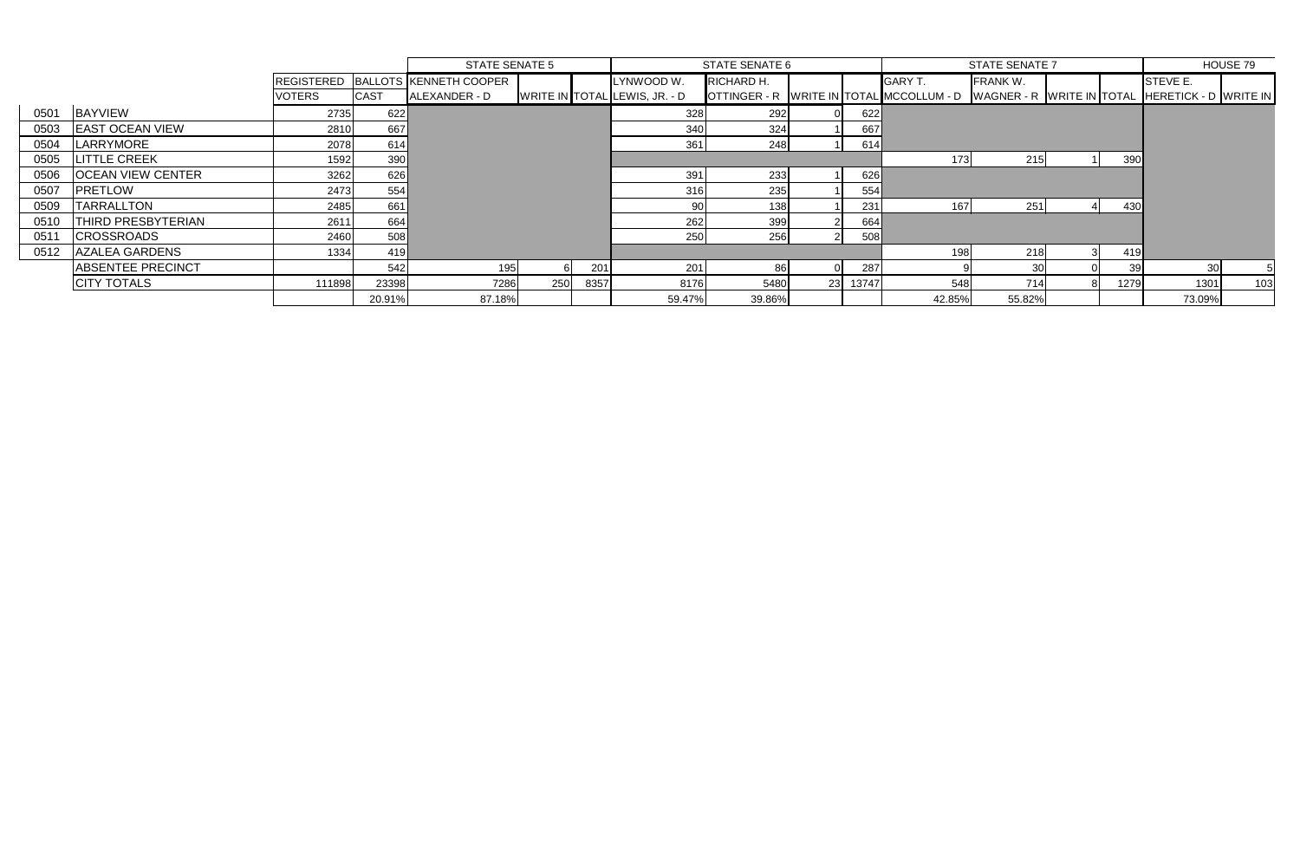|      |                          |               |             | <b>STATE SENATE 5</b>             |     |      | STATE SENATE 6                |            |    |       |                                                                                          | <b>STATE SENATE 7</b> | HOUSE 79 |          |     |
|------|--------------------------|---------------|-------------|-----------------------------------|-----|------|-------------------------------|------------|----|-------|------------------------------------------------------------------------------------------|-----------------------|----------|----------|-----|
|      |                          |               |             | REGISTERED BALLOTS KENNETH COOPER |     |      | LYNWOOD W.                    | RICHARD H. |    |       | <b>GARY T.</b>                                                                           | <b>FRANK W.</b>       |          | STEVE E. |     |
|      |                          | <b>VOTERS</b> | <b>CAST</b> | ALEXANDER - D                     |     |      | WRITE IN TOTAL LEWIS, JR. - D |            |    |       | OTTINGER - R WRITE IN TOTAL MCCOLLUM - D WAGNER - R WRITE IN TOTAL HERETICK - D WRITE IN |                       |          |          |     |
| 0501 | <b>BAYVIEW</b>           | 2735          | 622         |                                   |     |      | 328                           | 292        |    | 622   |                                                                                          |                       |          |          |     |
| 0503 | <b>LEAST OCEAN VIEW</b>  | 2810          | 667         |                                   |     |      | 340                           | 324        |    | 667   |                                                                                          |                       |          |          |     |
| 0504 | LARRYMORE                | 2078          | 614         |                                   |     |      | 361                           | 248        |    | 614   |                                                                                          |                       |          |          |     |
| 0505 | <b>LITTLE CREEK</b>      | 1592          | 390         |                                   |     |      |                               |            |    |       | 173                                                                                      | 215                   | 390      |          |     |
| 0506 | <b>OCEAN VIEW CENTER</b> | 3262          | 626         |                                   |     |      | 391                           | 233        |    | 626   |                                                                                          |                       |          |          |     |
| 0507 | <b>PRETLOW</b>           | 2473          | 554         |                                   |     |      | 316                           | 235        |    | 554   |                                                                                          |                       |          |          |     |
| 0509 | <b>TARRALLTON</b>        | 2485          | 661         |                                   |     |      | 90                            | 138        |    | 231   | 167                                                                                      | 251                   | 430      |          |     |
| 0510 | THIRD PRESBYTERIAN       | 2611          | 664         |                                   |     |      | 262                           | 399        |    | 664   |                                                                                          |                       |          |          |     |
| 0511 | <b>CROSSROADS</b>        | 2460          | 508         |                                   |     |      | 250                           | 256        |    | 508   |                                                                                          |                       |          |          |     |
| 0512 | AZALEA GARDENS           | 1334          | 419         |                                   |     |      |                               |            |    |       | 198                                                                                      | 218                   | 419      |          |     |
|      | <b>ABSENTEE PRECINCT</b> |               | 542         | 195                               |     | 201  | 201                           | 86         |    | 287   |                                                                                          | 30                    | 39       |          |     |
|      | <b>CITY TOTALS</b>       | 111898        | 23398       | 7286                              | 250 | 8357 | 8176                          | 5480       | 23 | 13747 | 548                                                                                      | 714                   | 1279     | 1301     | 103 |
|      |                          |               | 20.91%      | 87.18%                            |     |      | 59.47%                        | 39.86%     |    |       | 42.85%                                                                                   | 55.82%                |          | 73.09%   |     |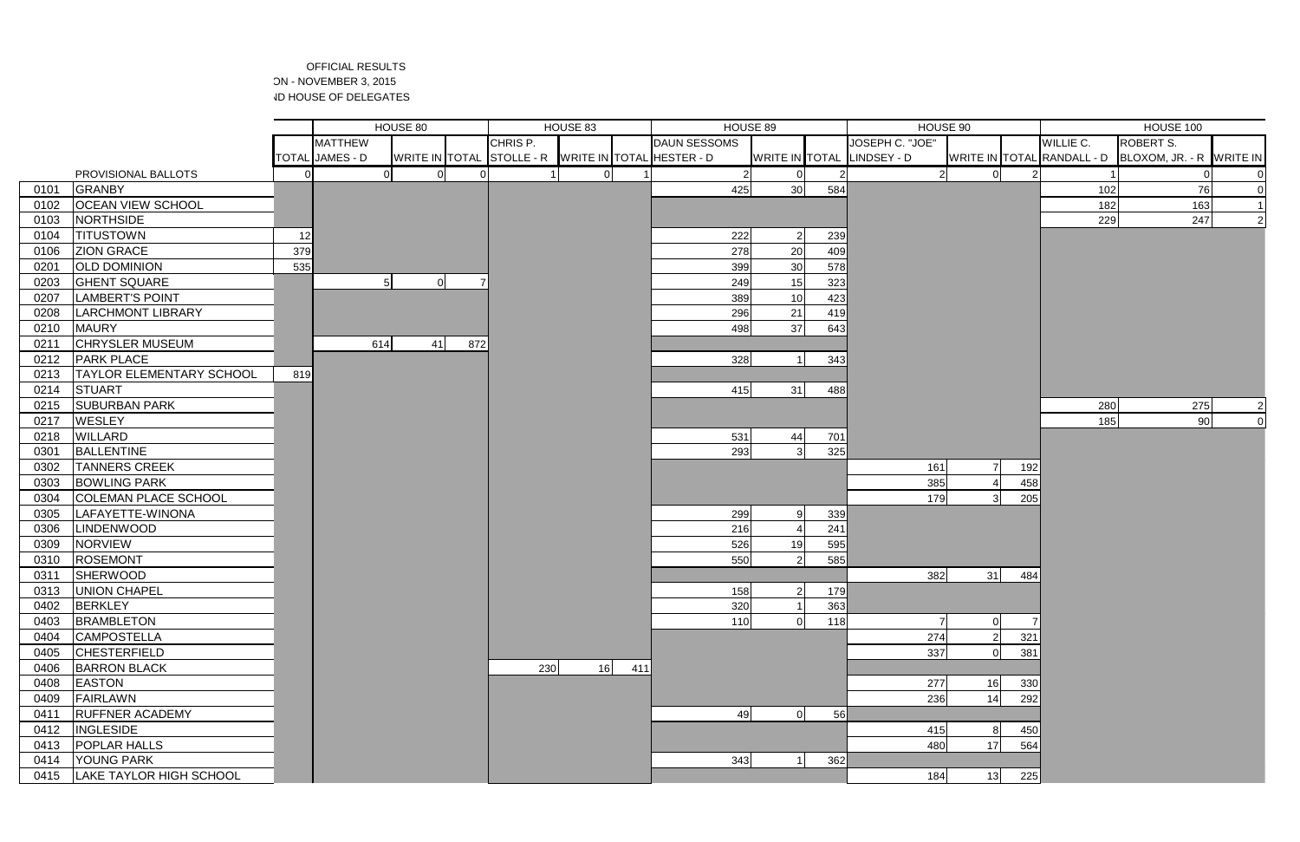## OFFICIAL RESULTS ON - NOVEMBER 3, 2015 **ID HOUSE OF DELEGATES**

|              |                                            |     |                        | HOUSE 80 |     |                                                     | HOUSE 83 |     | HOUSE 89            |                | HOUSE 90 |                            |    |            | HOUSE 100                  |                  |                          |
|--------------|--------------------------------------------|-----|------------------------|----------|-----|-----------------------------------------------------|----------|-----|---------------------|----------------|----------|----------------------------|----|------------|----------------------------|------------------|--------------------------|
|              |                                            |     | <b>MATTHEW</b>         |          |     | CHRIS P.                                            |          |     | <b>DAUN SESSOMS</b> |                |          | JOSEPH C. "JOE"            |    |            | WILLIE C.                  | <b>ROBERT S.</b> |                          |
|              |                                            |     | <b>TOTAL JAMES - D</b> |          |     | WRITE IN TOTAL STOLLE - R WRITE IN TOTAL HESTER - D |          |     |                     |                |          | WRITE IN TOTAL LINDSEY - D |    |            | WRITE IN TOTAL RANDALL - D |                  | BLOXOM, JR. - R WRITE IN |
|              | PROVISIONAL BALLOTS                        |     | ΩI                     | $\Omega$ |     |                                                     |          |     | 2                   |                |          | $\Omega$                   |    |            |                            |                  |                          |
| 0101         | <b>GRANBY</b>                              |     |                        |          |     |                                                     |          |     | 425                 | 30             | 584      |                            |    |            | 102                        |                  | 76                       |
| 0102         | <b>OCEAN VIEW SCHOOL</b>                   |     |                        |          |     |                                                     |          |     |                     |                |          |                            |    |            | 182                        |                  | 163                      |
| 0103         | NORTHSIDE                                  |     |                        |          |     |                                                     |          |     |                     |                |          |                            |    |            | 229                        |                  | 247                      |
| 0104         | <b>TITUSTOWN</b>                           | 12  |                        |          |     |                                                     |          |     | 222                 | $\overline{2}$ | 239      |                            |    |            |                            |                  |                          |
| 0106         | <b>ZION GRACE</b>                          | 379 |                        |          |     |                                                     |          |     | 278                 | 20             | 409      |                            |    |            |                            |                  |                          |
| 0201         | <b>OLD DOMINION</b>                        | 535 |                        |          |     |                                                     |          |     | 399                 | 30             | 578      |                            |    |            |                            |                  |                          |
| 0203         | <b>GHENT SQUARE</b>                        |     | 5 <sup>1</sup>         | 0        |     |                                                     |          |     | 249                 | 15             | 323      |                            |    |            |                            |                  |                          |
| 0207         | <b>LAMBERT'S POINT</b>                     |     |                        |          |     |                                                     |          |     | 389                 | 10             | 423      |                            |    |            |                            |                  |                          |
| 0208         | <b>LARCHMONT LIBRARY</b>                   |     |                        |          |     |                                                     |          |     | 296                 | 21             | 419      |                            |    |            |                            |                  |                          |
| 0210         | <b>MAURY</b>                               |     |                        |          |     |                                                     |          |     | 498                 | 37             | 643      |                            |    |            |                            |                  |                          |
| 0211         | <b>CHRYSLER MUSEUM</b>                     |     | 614                    | 41       | 872 |                                                     |          |     |                     |                |          |                            |    |            |                            |                  |                          |
| 0212         | <b>PARK PLACE</b>                          |     |                        |          |     |                                                     |          |     | 328                 | $\overline{1}$ | 343      |                            |    |            |                            |                  |                          |
| 0213         | <b>TAYLOR ELEMENTARY SCHOOL</b>            | 819 |                        |          |     |                                                     |          |     |                     |                |          |                            |    |            |                            |                  |                          |
| 0214         | STUART                                     |     |                        |          |     |                                                     |          |     | 415                 | 31             | 488      |                            |    |            |                            |                  |                          |
| 0215         | <b>SUBURBAN PARK</b>                       |     |                        |          |     |                                                     |          |     |                     |                |          |                            |    |            | 280                        |                  | 275                      |
| 0217         | <b>WESLEY</b>                              |     |                        |          |     |                                                     |          |     |                     |                |          |                            |    |            | 185                        |                  | 90<br>$\Omega$           |
| 0218         | <b>WILLARD</b>                             |     |                        |          |     |                                                     |          |     | 531                 | 44             | 701      |                            |    |            |                            |                  |                          |
| 0301         | <b>BALLENTINE</b>                          |     |                        |          |     |                                                     |          |     | 293                 | 3              | 325      |                            |    |            |                            |                  |                          |
| 0302         | <b>TANNERS CREEK</b>                       |     |                        |          |     |                                                     |          |     |                     |                |          | 161                        |    | 192        |                            |                  |                          |
| 0303         | <b>BOWLING PARK</b>                        |     |                        |          |     |                                                     |          |     |                     |                |          | 385                        |    | 458        |                            |                  |                          |
| 0304         | <b>COLEMAN PLACE SCHOOL</b>                |     |                        |          |     |                                                     |          |     |                     |                |          | 179                        |    | 205        |                            |                  |                          |
| 0305         | LAFAYETTE-WINONA                           |     |                        |          |     |                                                     |          |     | 299                 |                | 339      |                            |    |            |                            |                  |                          |
| 0306         | <b>LINDENWOOD</b>                          |     |                        |          |     |                                                     |          |     | 216                 |                | 241      |                            |    |            |                            |                  |                          |
| 0309         | <b>NORVIEW</b>                             |     |                        |          |     |                                                     |          |     | 526                 | 19             | 595      |                            |    |            |                            |                  |                          |
| 0310         | <b>ROSEMONT</b>                            |     |                        |          |     |                                                     |          |     | 550                 | 2              | 585      |                            |    |            |                            |                  |                          |
| 031'         | <b>SHERWOOD</b>                            |     |                        |          |     |                                                     |          |     |                     |                |          | 382                        | 31 | 484        |                            |                  |                          |
| 0313         | <b>UNION CHAPEL</b>                        |     |                        |          |     |                                                     |          |     | 158                 | 2 <sup>1</sup> | 179I     |                            |    |            |                            |                  |                          |
| 0402         | BERKLEY                                    |     |                        |          |     |                                                     |          |     | 320                 |                | 363      |                            |    |            |                            |                  |                          |
| 0403         | <b>BRAMBLETON</b>                          |     |                        |          |     |                                                     |          |     | 110                 |                | 118      |                            |    |            |                            |                  |                          |
| 0404         | <b>CAMPOSTELLA</b>                         |     |                        |          |     |                                                     |          |     |                     |                |          | 274                        |    | 321        |                            |                  |                          |
| 0405         | <b>CHESTERFIELD</b>                        |     |                        |          |     |                                                     |          |     |                     |                |          | 337                        |    | 381        |                            |                  |                          |
| 0406         | <b>BARRON BLACK</b>                        |     |                        |          |     | 230                                                 | 16       | 411 |                     |                |          |                            |    |            |                            |                  |                          |
| 0408         | <b>EASTON</b>                              |     |                        |          |     |                                                     |          |     |                     |                |          | 277                        | 16 | 330        |                            |                  |                          |
| 0409         | <b>FAIRLAWN</b>                            |     |                        |          |     |                                                     |          |     |                     |                |          | 236                        | 14 | 292        |                            |                  |                          |
| 0411         | <b>RUFFNER ACADEMY</b><br><b>INGLESIDE</b> |     |                        |          |     |                                                     |          |     | 49                  | $\Omega$       | 56       | 415                        |    | 8          |                            |                  |                          |
| 0412<br>0413 | <b>POPLAR HALLS</b>                        |     |                        |          |     |                                                     |          |     |                     |                |          | 480                        | 17 | 450<br>564 |                            |                  |                          |
| 0414         | <b>YOUNG PARK</b>                          |     |                        |          |     |                                                     |          |     | 343                 |                | 362      |                            |    |            |                            |                  |                          |
| 0415         | <b>LAKE TAYLOR HIGH SCHOOL</b>             |     |                        |          |     |                                                     |          |     |                     |                |          | 184                        | 13 | 225        |                            |                  |                          |
|              |                                            |     |                        |          |     |                                                     |          |     |                     |                |          |                            |    |            |                            |                  |                          |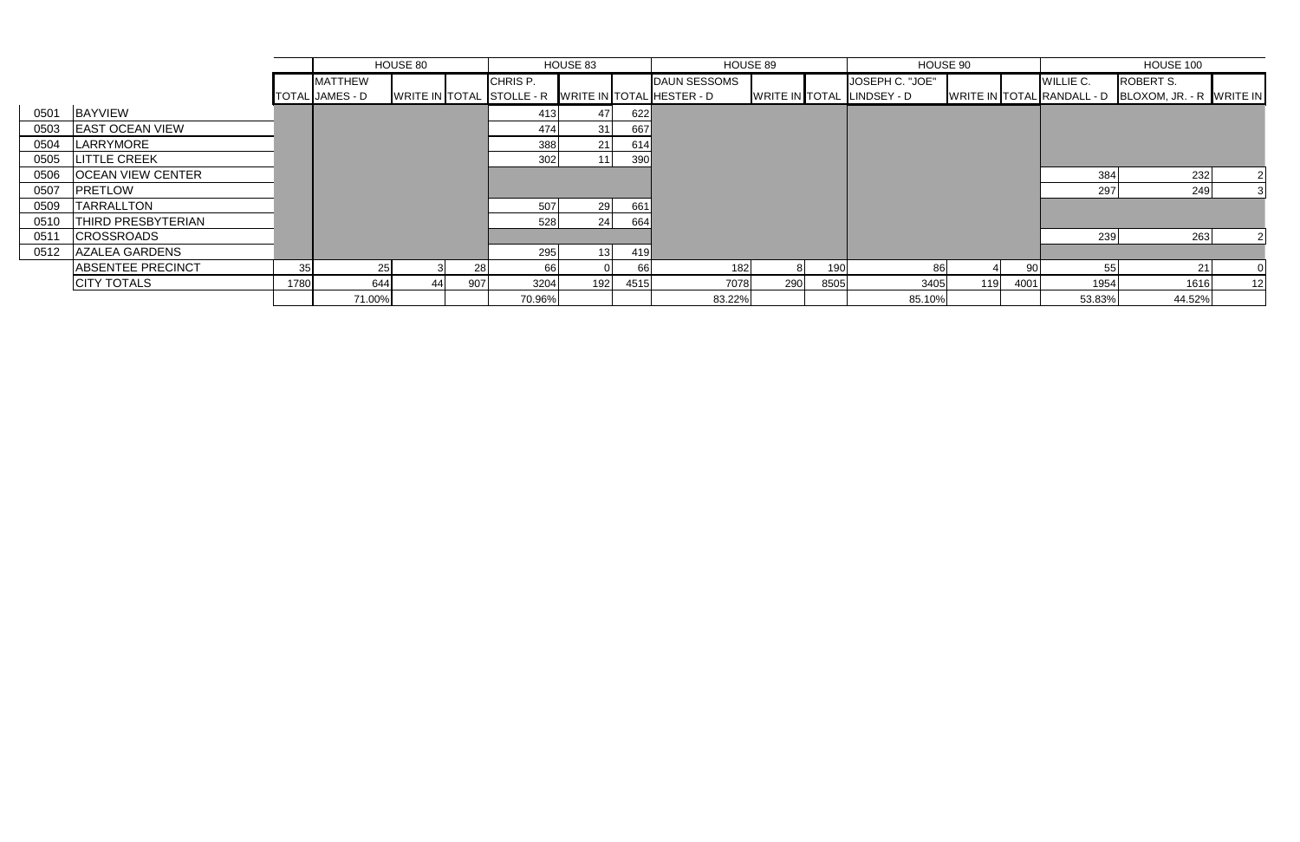|      |                           |      |                        | HOUSE 80 |     |                                                     | HOUSE 83        |      | HOUSE 90<br>HOUSE 89 |     |      |                            |     |      |           |                                                     |                | HOUSE 100 |  |
|------|---------------------------|------|------------------------|----------|-----|-----------------------------------------------------|-----------------|------|----------------------|-----|------|----------------------------|-----|------|-----------|-----------------------------------------------------|----------------|-----------|--|
|      |                           |      | <b>MATTHEW</b>         |          |     | CHRIS P.                                            |                 |      | <b>DAUN SESSOMS</b>  |     |      | JOSEPH C. "JOE"            |     |      | WILLIE C. | <b>ROBERT S.</b>                                    |                |           |  |
|      |                           |      | <b>TOTAL JAMES - D</b> |          |     | WRITE IN TOTAL STOLLE - R WRITE IN TOTAL HESTER - D |                 |      |                      |     |      | WRITE IN TOTAL LINDSEY - D |     |      |           | WRITE IN TOTAL RANDALL - D BLOXOM, JR. - R WRITE IN |                |           |  |
| 0501 | <b>BAYVIEW</b>            |      |                        |          |     | -413                                                | 47              | 622  |                      |     |      |                            |     |      |           |                                                     |                |           |  |
| 0503 | <b>EAST OCEAN VIEW</b>    |      |                        |          |     | 474                                                 | 31 I            | 667  |                      |     |      |                            |     |      |           |                                                     |                |           |  |
| 0504 | LARRYMORE                 |      |                        |          |     | 388                                                 | 21 <sup>1</sup> | 614  |                      |     |      |                            |     |      |           |                                                     |                |           |  |
| 0505 | <b>LITTLE CREEK</b>       |      |                        |          |     | 302                                                 |                 | 390  |                      |     |      |                            |     |      |           |                                                     |                |           |  |
| 0506 | <b>OCEAN VIEW CENTER</b>  |      |                        |          |     |                                                     |                 |      |                      |     |      |                            |     |      | 384       | 232                                                 | $\overline{2}$ |           |  |
| 0507 | <b>PRETLOW</b>            |      |                        |          |     |                                                     |                 |      |                      |     |      |                            |     |      | 297       | 249                                                 |                |           |  |
| 0509 | <b>TARRALLTON</b>         |      |                        |          |     | 507                                                 |                 | 661  |                      |     |      |                            |     |      |           |                                                     |                |           |  |
| 0510 | <b>THIRD PRESBYTERIAN</b> |      |                        |          |     | 528                                                 | 24              | 664  |                      |     |      |                            |     |      |           |                                                     |                |           |  |
| 0511 | <b>CROSSROADS</b>         |      |                        |          |     |                                                     |                 |      |                      |     |      |                            |     |      | 239       | 263                                                 |                |           |  |
|      | 0512 AZALEA GARDENS       |      |                        |          |     | 295                                                 |                 | 419  |                      |     |      |                            |     |      |           |                                                     |                |           |  |
|      | <b>ABSENTEE PRECINCT</b>  | 35   |                        |          | 28  | -66                                                 |                 | 66   | 182                  |     | 190  | 861                        |     | -90  |           | 55                                                  |                |           |  |
|      | <b>CITY TOTALS</b>        | 1780 | 644                    | 44 I     | 907 | 3204                                                | 192             | 4515 | 7078                 | 290 | 8505 | 3405                       | 119 | 4001 | 1954      | 1616                                                | 12             |           |  |
|      |                           |      | 71.00%                 |          |     | 70.96%                                              |                 |      | 83.22%               |     |      | 85.10%                     |     |      | 53.83%    | 44.52%                                              |                |           |  |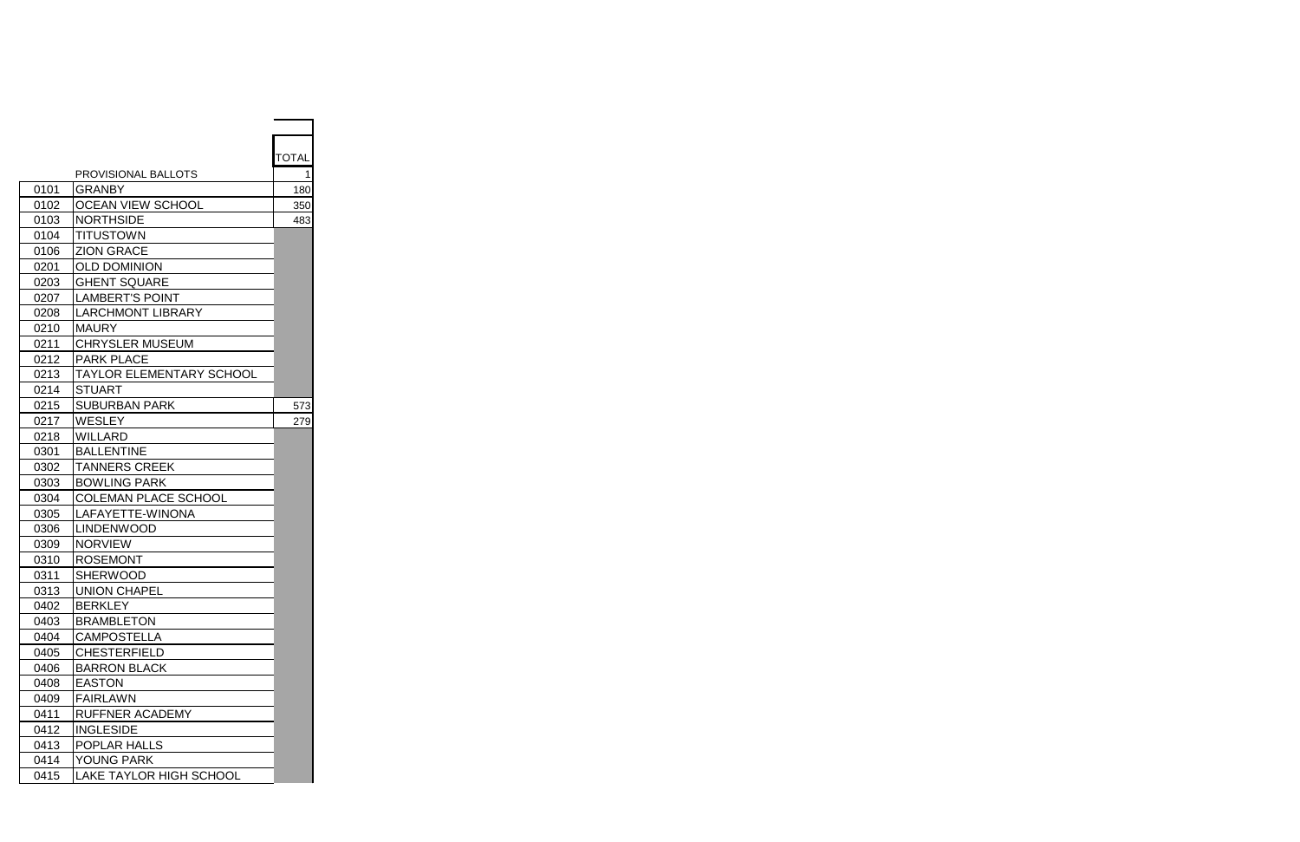|      |                                 | <b>TOTAL</b> |
|------|---------------------------------|--------------|
|      | PROVISIONAL BALLOTS             | 1            |
| 0101 | <b>GRANBY</b>                   | 180          |
| 0102 | <b>OCEAN VIEW SCHOOL</b>        | 350          |
| 0103 | <b>NORTHSIDE</b>                | 483          |
| 0104 | <b>TITUSTOWN</b>                |              |
| 0106 | <b>ZION GRACE</b>               |              |
| 0201 | <b>OLD DOMINION</b>             |              |
| 0203 | <b>GHENT SQUARE</b>             |              |
| 0207 | <b>LAMBERT'S POINT</b>          |              |
| 0208 | <b>LARCHMONT LIBRARY</b>        |              |
| 0210 | <b>MAURY</b>                    |              |
| 0211 | <b>CHRYSLER MUSEUM</b>          |              |
| 0212 | <b>PARK PLACE</b>               |              |
| 0213 | <b>TAYLOR ELEMENTARY SCHOOL</b> |              |
| 0214 | <b>STUART</b>                   |              |
| 0215 | <b>SUBURBAN PARK</b>            | 573          |
| 0217 | <b>WESLEY</b>                   | 279          |
| 0218 | <b>WILLARD</b>                  |              |
| 0301 | <b>BALLENTINE</b>               |              |
| 0302 | <b>TANNERS CREEK</b>            |              |
| 0303 | <b>BOWLING PARK</b>             |              |
| 0304 | <b>COLEMAN PLACE SCHOOL</b>     |              |
| 0305 | LAFAYETTE-WINONA                |              |
| 0306 | <b>LINDENWOOD</b>               |              |
| 0309 | <b>NORVIEW</b>                  |              |
| 0310 | <b>ROSEMONT</b>                 |              |
| 0311 | <b>SHERWOOD</b>                 |              |
| 0313 | <b>UNION CHAPEL</b>             |              |
| 0402 | <b>BERKLEY</b>                  |              |
| 0403 | <b>BRAMBLETON</b>               |              |
| 0404 | <b>CAMPOSTELLA</b>              |              |
| 0405 | <b>CHESTERFIELD</b>             |              |
| 0406 | <b>BARRON BLACK</b>             |              |
| 0408 | <b>EASTON</b>                   |              |
| 0409 | <b>FAIRLAWN</b>                 |              |
| 0411 | <b>RUFFNER ACADEMY</b>          |              |
| 0412 | <b>INGLESIDE</b>                |              |
| 0413 | POPLAR HALLS                    |              |
| 0414 | <b>YOUNG PARK</b>               |              |
| 0415 | <b>LAKE TAYLOR HIGH SCHOOL</b>  |              |